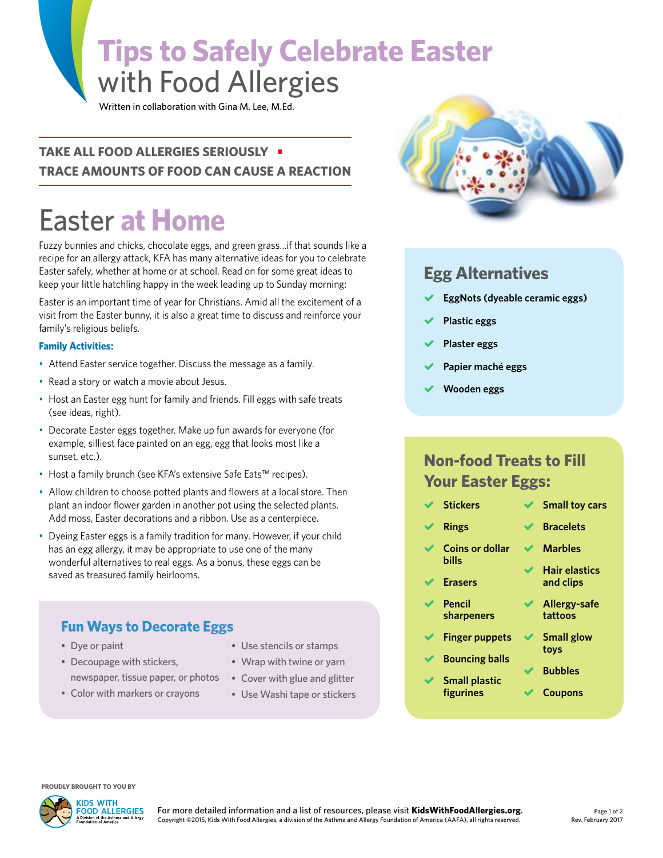# **Tips to Safely Celebrate Easter**  with Food Allergies

Written in collaboration with Gina M. Lee, M.Ed.

#### **TAKE ALL FOOD ALLERGIES SERIOUSLY • TRACE AMOUNTS OF FOOD CAN CAUSE A REACTION**

# Easter **at Home**

Fuzzy bunnies and chicks, chocolate eggs, and green grass…if that sounds like a recipe for an allergy attack, KFA has many alternative ideas for you to celebrate Easter safely, whether at home or at school. Read on for some great ideas to keep your little hatchling happy in the week leading up to Sunday morning:

Easter is an important time of year for Christians. Amid all the excitement of a visit from the Easter bunny, it is also a great time to discuss and reinforce your family's religious beliefs.

#### **Family Activities:**

- Attend Easter service together. Discuss the message as a family.
- Read a story or watch a movie about Jesus.
- Host an Easter egg hunt for family and friends. Fill eggs with safe treats (see ideas, right).
- Decorate Easter eggs together. Make up fun awards for everyone (for example, silliest face painted on an egg, egg that looks most like a sunset, etc.).
- Host a family brunch (see KFA's extensive Safe Eats™ recipes).
- Allow children to choose potted plants and flowers at a local store. Then plant an indoor flower garden in another pot using the selected plants. Add moss, Easter decorations and a ribbon. Use as a centerpiece.
- Dyeing Easter eggs is a family tradition for many. However, if your child has an egg allergy, it may be appropriate to use one of the many wonderful alternatives to real eggs. As a bonus, these eggs can be saved as treasured family heirlooms.

#### **Fun Ways to Decorate Eggs**

- Dye or paint
- Decoupage with stickers, newspaper, tissue paper, or photos
- Color with markers or crayons
- Use stencils or stamps
- Wrap with twine or yarn
- Cover with glue and glitter
- Use Washi tape or stickers



#### **Egg Alternatives**

- **EggNots (dyeable ceramic eggs)**
- **Plastic eggs**
- **Plaster eggs**
- **Papier maché eggs**
- **Wooden eggs**

**Rings**

**Erasers**

**Pencil** 

### **Non-food Treats to Fill Your Easter Eggs:**

- **Stickers Small toy cars**
	- **Coins or dollar bills Marbles**
		- **Hair elastics and clips**
		- **sharpeners Allergy-safe tattoos**

**Bracelets**

- **Finger puppets Small glow**
- **Bouncing balls**

 **Small plastic figurines**

- **toys Bubbles**
- **Coupons**

**PROUDLY BROUGHT TO YOU BY**